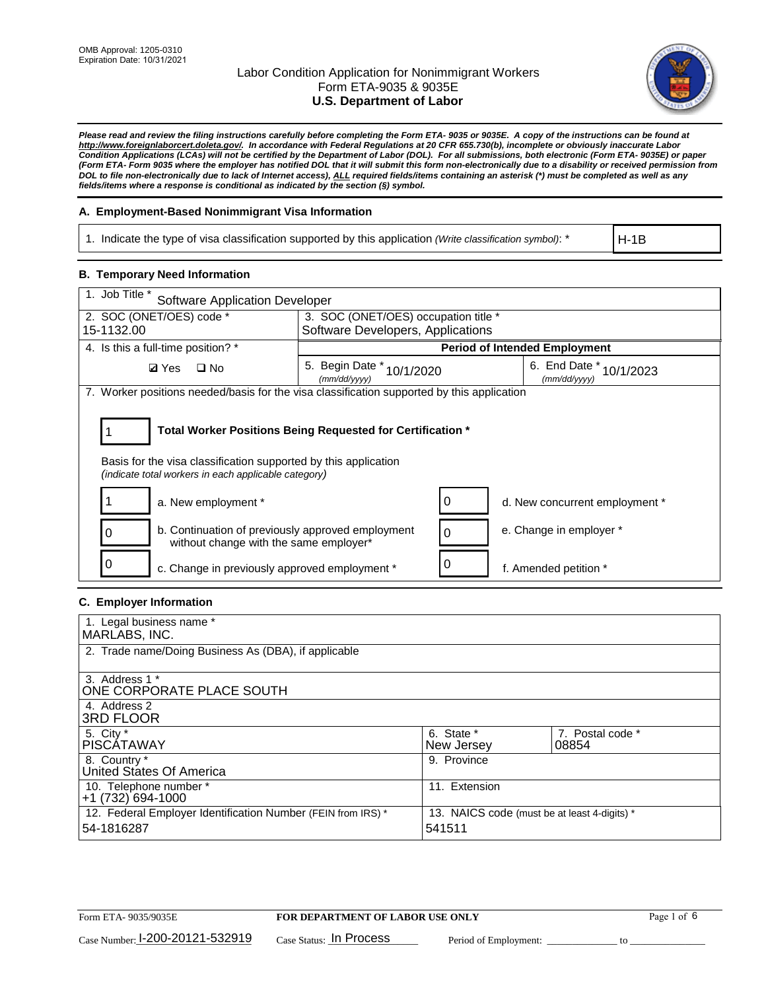

*Please read and review the filing instructions carefully before completing the Form ETA- 9035 or 9035E. A copy of the instructions can be found at [http://www.foreignlaborcert.doleta.gov/.](http://www.foreignlaborcert.doleta.gov/) In accordance with Federal Regulations at 20 CFR 655.730(b), incomplete or obviously inaccurate Labor Condition Applications (LCAs) will not be certified by the Department of Labor (DOL). For all submissions, both electronic (Form ETA- 9035E) or paper (Form ETA- Form 9035 where the employer has notified DOL that it will submit this form non-electronically due to a disability or received permission from DOL to file non-electronically due to lack of Internet access), ALL required fields/items containing an asterisk (\*) must be completed as well as any fields/items where a response is conditional as indicated by the section (§) symbol.* 

### **A. Employment-Based Nonimmigrant Visa Information**

1. Indicate the type of visa classification supported by this application *(Write classification symbol)*: \*

H-1B

### **B. Temporary Need Information**

| 1. Job Title *<br><b>Software Application Developer</b>                                                                                                                               |                                               |   |                                         |  |  |
|---------------------------------------------------------------------------------------------------------------------------------------------------------------------------------------|-----------------------------------------------|---|-----------------------------------------|--|--|
| 2. SOC (ONET/OES) code *<br>3. SOC (ONET/OES) occupation title *                                                                                                                      |                                               |   |                                         |  |  |
| 15-1132.00                                                                                                                                                                            | Software Developers, Applications             |   |                                         |  |  |
| 4. Is this a full-time position? *                                                                                                                                                    |                                               |   | <b>Period of Intended Employment</b>    |  |  |
| <b>Ø</b> Yes<br>$\square$ No                                                                                                                                                          | 5. Begin Date $*_{10/1/2020}$<br>(mm/dd/yyyy) |   | 6. End Date * 10/1/2023<br>(mm/dd/yyyy) |  |  |
| 7. Worker positions needed/basis for the visa classification supported by this application                                                                                            |                                               |   |                                         |  |  |
| Total Worker Positions Being Requested for Certification *<br>Basis for the visa classification supported by this application<br>(indicate total workers in each applicable category) |                                               |   |                                         |  |  |
| a. New employment *                                                                                                                                                                   |                                               | 0 | d. New concurrent employment *          |  |  |
| b. Continuation of previously approved employment<br>without change with the same employer*                                                                                           |                                               | 0 | e. Change in employer *                 |  |  |
| c. Change in previously approved employment *                                                                                                                                         |                                               | 0 | f. Amended petition *                   |  |  |

### **C. Employer Information**

| 1. Legal business name *                                     |                                              |                  |
|--------------------------------------------------------------|----------------------------------------------|------------------|
| MARLABS, INC.                                                |                                              |                  |
| 2. Trade name/Doing Business As (DBA), if applicable         |                                              |                  |
|                                                              |                                              |                  |
| 3. Address 1 *                                               |                                              |                  |
| ONE CORPORATE PLACE SOUTH                                    |                                              |                  |
| 4. Address 2                                                 |                                              |                  |
| <b>3RD FLOOR</b>                                             |                                              |                  |
| 5. City *                                                    | 6. State *                                   | 7. Postal code * |
| PISCÁTAWAY                                                   | New Jersey                                   | 08854            |
| 8. Country *                                                 | 9. Province                                  |                  |
| United States Of America                                     |                                              |                  |
| 10. Telephone number *                                       | 11. Extension                                |                  |
| +1 (732) 694-1000                                            |                                              |                  |
| 12. Federal Employer Identification Number (FEIN from IRS) * | 13. NAICS code (must be at least 4-digits) * |                  |
| 54-1816287                                                   | 541511                                       |                  |
|                                                              |                                              |                  |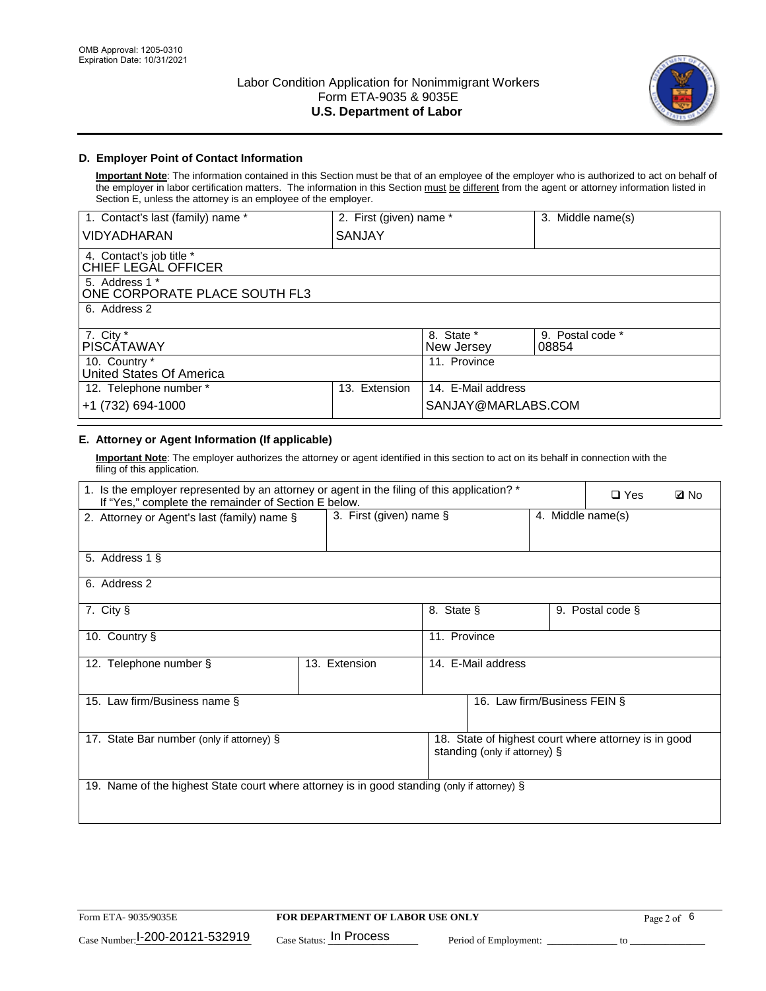

### **D. Employer Point of Contact Information**

**Important Note**: The information contained in this Section must be that of an employee of the employer who is authorized to act on behalf of the employer in labor certification matters. The information in this Section must be different from the agent or attorney information listed in Section E, unless the attorney is an employee of the employer.

| 1. Contact's last (family) name *               | 2. First (given) name * |                          | 3. Middle name(s)         |
|-------------------------------------------------|-------------------------|--------------------------|---------------------------|
| <b>VIDYADHARAN</b>                              | SANJAY                  |                          |                           |
| 4. Contact's job title *<br>CHIEF LEGAL OFFICER |                         |                          |                           |
| 5. Address 1 *<br>ONE CORPORATE PLACE SOUTH FL3 |                         |                          |                           |
| 6. Address 2                                    |                         |                          |                           |
| 7. City $*$<br>PISCÁTAWAY                       |                         | 8. State *<br>New Jersey | 9. Postal code *<br>08854 |
| 10. Country *<br>United States Of America       |                         | 11. Province             |                           |
| 12. Telephone number *                          | Extension<br>13.        | 14. E-Mail address       |                           |
| +1 (732) 694-1000                               |                         | SANJAY@MARLABS.COM       |                           |

## **E. Attorney or Agent Information (If applicable)**

**Important Note**: The employer authorizes the attorney or agent identified in this section to act on its behalf in connection with the filing of this application.

| 1. Is the employer represented by an attorney or agent in the filing of this application? *<br>If "Yes," complete the remainder of Section E below. |                            |              |                               |                   | $\Box$ Yes                                           | <b>Ø</b> No |
|-----------------------------------------------------------------------------------------------------------------------------------------------------|----------------------------|--------------|-------------------------------|-------------------|------------------------------------------------------|-------------|
| 2. Attorney or Agent's last (family) name §                                                                                                         | 3. First (given) name $\S$ |              |                               | 4. Middle name(s) |                                                      |             |
| 5. Address 1 §                                                                                                                                      |                            |              |                               |                   |                                                      |             |
| 6. Address 2                                                                                                                                        |                            |              |                               |                   |                                                      |             |
| 7. City §                                                                                                                                           |                            | 8. State §   |                               |                   | 9. Postal code §                                     |             |
| 10. Country §                                                                                                                                       |                            | 11. Province |                               |                   |                                                      |             |
| 12. Telephone number §                                                                                                                              | 13. Extension              |              | 14. E-Mail address            |                   |                                                      |             |
| 15. Law firm/Business name §                                                                                                                        |                            |              | 16. Law firm/Business FEIN §  |                   |                                                      |             |
| 17. State Bar number (only if attorney) §                                                                                                           |                            |              | standing (only if attorney) § |                   | 18. State of highest court where attorney is in good |             |
| 19. Name of the highest State court where attorney is in good standing (only if attorney) §                                                         |                            |              |                               |                   |                                                      |             |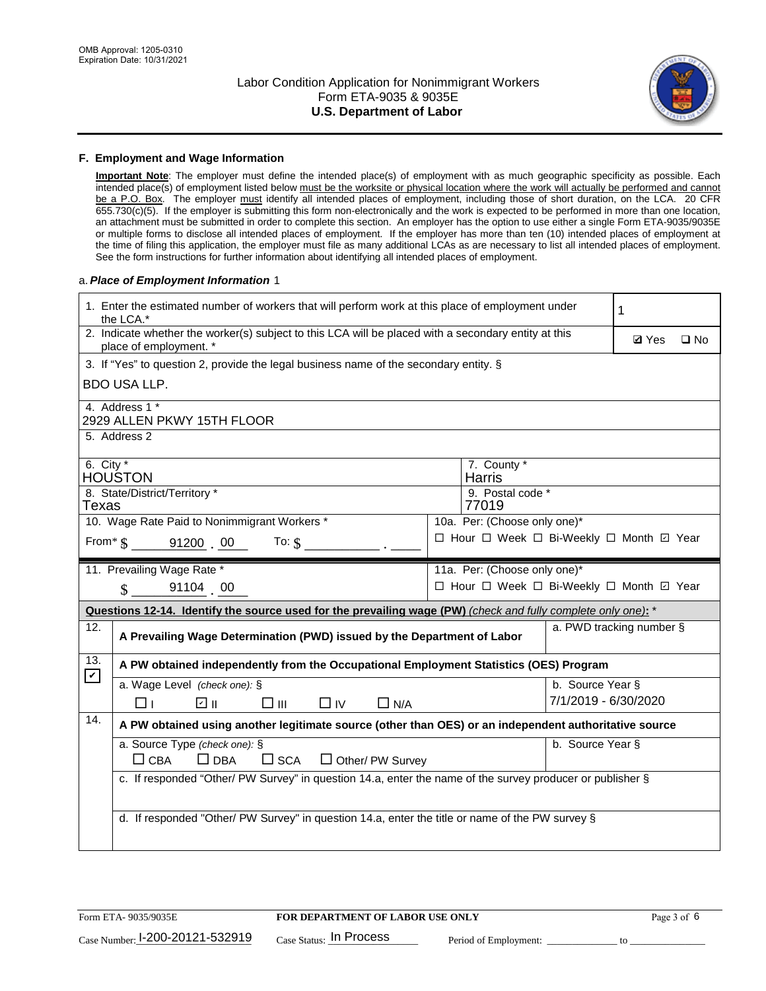

#### **F. Employment and Wage Information**

**Important Note**: The employer must define the intended place(s) of employment with as much geographic specificity as possible. Each intended place(s) of employment listed below must be the worksite or physical location where the work will actually be performed and cannot be a P.O. Box. The employer must identify all intended places of employment, including those of short duration, on the LCA. 20 CFR 655.730(c)(5). If the employer is submitting this form non-electronically and the work is expected to be performed in more than one location, an attachment must be submitted in order to complete this section. An employer has the option to use either a single Form ETA-9035/9035E or multiple forms to disclose all intended places of employment. If the employer has more than ten (10) intended places of employment at the time of filing this application, the employer must file as many additional LCAs as are necessary to list all intended places of employment. See the form instructions for further information about identifying all intended places of employment.

### a.*Place of Employment Information* 1

|                                                                                           | 1. Enter the estimated number of workers that will perform work at this place of employment under<br>the LCA.*                 |  |                                          |                          |              |              |
|-------------------------------------------------------------------------------------------|--------------------------------------------------------------------------------------------------------------------------------|--|------------------------------------------|--------------------------|--------------|--------------|
|                                                                                           | 2. Indicate whether the worker(s) subject to this LCA will be placed with a secondary entity at this<br>place of employment. * |  |                                          |                          | <b>Ø</b> Yes | $\square$ No |
|                                                                                           | 3. If "Yes" to question 2, provide the legal business name of the secondary entity. §                                          |  |                                          |                          |              |              |
|                                                                                           | <b>BDO USA LLP.</b>                                                                                                            |  |                                          |                          |              |              |
|                                                                                           | 4. Address 1 *<br>2929 ALLEN PKWY 15TH FLOOR                                                                                   |  |                                          |                          |              |              |
|                                                                                           | 5. Address 2                                                                                                                   |  |                                          |                          |              |              |
|                                                                                           | 6. City $*$<br>7. County *<br>HOUŚTON<br><b>Harris</b>                                                                         |  |                                          |                          |              |              |
| 8. State/District/Territory *<br>9. Postal code *<br>Texas<br>77019                       |                                                                                                                                |  |                                          |                          |              |              |
| 10. Wage Rate Paid to Nonimmigrant Workers *<br>10a. Per: (Choose only one)*              |                                                                                                                                |  |                                          |                          |              |              |
| □ Hour □ Week □ Bi-Weekly □ Month ☑ Year<br>From $\frac{1}{5}$ 91200 00 To: $\frac{1}{5}$ |                                                                                                                                |  |                                          |                          |              |              |
|                                                                                           | 11. Prevailing Wage Rate *<br>11a. Per: (Choose only one)*                                                                     |  |                                          |                          |              |              |
|                                                                                           | $\sin 9110400$                                                                                                                 |  | □ Hour □ Week □ Bi-Weekly □ Month ☑ Year |                          |              |              |
|                                                                                           | Questions 12-14. Identify the source used for the prevailing wage (PW) (check and fully complete only one): *                  |  |                                          |                          |              |              |
| 12.                                                                                       | A Prevailing Wage Determination (PWD) issued by the Department of Labor                                                        |  |                                          | a. PWD tracking number § |              |              |
| 13.                                                                                       | A PW obtained independently from the Occupational Employment Statistics (OES) Program                                          |  |                                          |                          |              |              |
| $\mathbf v$                                                                               | a. Wage Level (check one): §                                                                                                   |  |                                          | b. Source Year §         |              |              |
|                                                                                           | ☑ ⊪<br>$\square$ $\square$<br>$\Box$ IV<br>$\Box$ N/A<br>□⊥                                                                    |  |                                          | 7/1/2019 - 6/30/2020     |              |              |
| 14.                                                                                       | A PW obtained using another legitimate source (other than OES) or an independent authoritative source                          |  |                                          |                          |              |              |
|                                                                                           | a. Source Type (check one): §<br>$\Box$ CBA<br>$\Box$ DBA<br>$\square$ SCA<br>$\Box$ Other/ PW Survey                          |  |                                          | b. Source Year §         |              |              |
|                                                                                           | c. If responded "Other/ PW Survey" in question 14.a, enter the name of the survey producer or publisher §                      |  |                                          |                          |              |              |
|                                                                                           | d. If responded "Other/ PW Survey" in question 14.a, enter the title or name of the PW survey §                                |  |                                          |                          |              |              |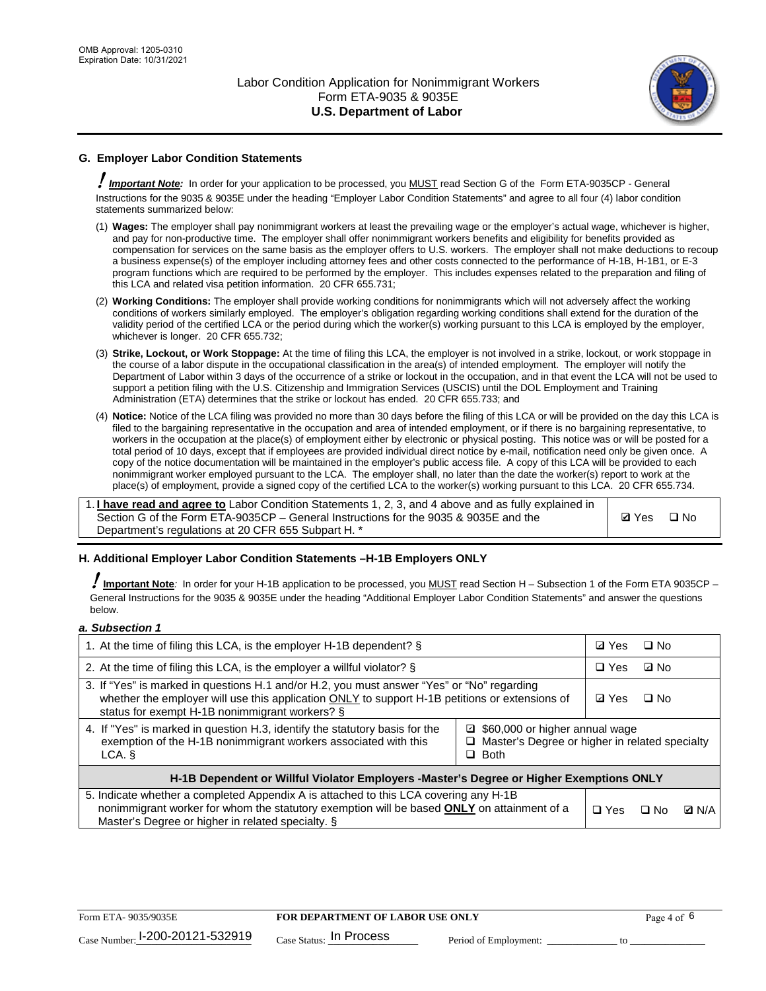

## **G. Employer Labor Condition Statements**

! *Important Note:* In order for your application to be processed, you MUST read Section G of the Form ETA-9035CP - General Instructions for the 9035 & 9035E under the heading "Employer Labor Condition Statements" and agree to all four (4) labor condition statements summarized below:

- (1) **Wages:** The employer shall pay nonimmigrant workers at least the prevailing wage or the employer's actual wage, whichever is higher, and pay for non-productive time. The employer shall offer nonimmigrant workers benefits and eligibility for benefits provided as compensation for services on the same basis as the employer offers to U.S. workers. The employer shall not make deductions to recoup a business expense(s) of the employer including attorney fees and other costs connected to the performance of H-1B, H-1B1, or E-3 program functions which are required to be performed by the employer. This includes expenses related to the preparation and filing of this LCA and related visa petition information. 20 CFR 655.731;
- (2) **Working Conditions:** The employer shall provide working conditions for nonimmigrants which will not adversely affect the working conditions of workers similarly employed. The employer's obligation regarding working conditions shall extend for the duration of the validity period of the certified LCA or the period during which the worker(s) working pursuant to this LCA is employed by the employer, whichever is longer. 20 CFR 655.732;
- (3) **Strike, Lockout, or Work Stoppage:** At the time of filing this LCA, the employer is not involved in a strike, lockout, or work stoppage in the course of a labor dispute in the occupational classification in the area(s) of intended employment. The employer will notify the Department of Labor within 3 days of the occurrence of a strike or lockout in the occupation, and in that event the LCA will not be used to support a petition filing with the U.S. Citizenship and Immigration Services (USCIS) until the DOL Employment and Training Administration (ETA) determines that the strike or lockout has ended. 20 CFR 655.733; and
- (4) **Notice:** Notice of the LCA filing was provided no more than 30 days before the filing of this LCA or will be provided on the day this LCA is filed to the bargaining representative in the occupation and area of intended employment, or if there is no bargaining representative, to workers in the occupation at the place(s) of employment either by electronic or physical posting. This notice was or will be posted for a total period of 10 days, except that if employees are provided individual direct notice by e-mail, notification need only be given once. A copy of the notice documentation will be maintained in the employer's public access file. A copy of this LCA will be provided to each nonimmigrant worker employed pursuant to the LCA. The employer shall, no later than the date the worker(s) report to work at the place(s) of employment, provide a signed copy of the certified LCA to the worker(s) working pursuant to this LCA. 20 CFR 655.734.

1. **I have read and agree to** Labor Condition Statements 1, 2, 3, and 4 above and as fully explained in Section G of the Form ETA-9035CP – General Instructions for the 9035 & 9035E and the Department's regulations at 20 CFR 655 Subpart H. \*

**Ø**Yes ロNo

### **H. Additional Employer Labor Condition Statements –H-1B Employers ONLY**

!**Important Note***:* In order for your H-1B application to be processed, you MUST read Section H – Subsection 1 of the Form ETA 9035CP – General Instructions for the 9035 & 9035E under the heading "Additional Employer Labor Condition Statements" and answer the questions below.

#### *a. Subsection 1*

| 1. At the time of filing this LCA, is the employer H-1B dependent? §                                                                                                                                                                                            |            |      | $\square$ No |  |
|-----------------------------------------------------------------------------------------------------------------------------------------------------------------------------------------------------------------------------------------------------------------|------------|------|--------------|--|
| 2. At the time of filing this LCA, is the employer a willful violator? $\S$                                                                                                                                                                                     |            |      | ⊡ No         |  |
| 3. If "Yes" is marked in questions H.1 and/or H.2, you must answer "Yes" or "No" regarding<br>whether the employer will use this application ONLY to support H-1B petitions or extensions of<br>status for exempt H-1B nonimmigrant workers? §                  |            |      | $\Box$ No    |  |
| 4. If "Yes" is marked in question H.3, identify the statutory basis for the<br>■ \$60,000 or higher annual wage<br>exemption of the H-1B nonimmigrant workers associated with this<br>□ Master's Degree or higher in related specialty<br>$\Box$ Both<br>LCA. § |            |      |              |  |
| H-1B Dependent or Willful Violator Employers -Master's Degree or Higher Exemptions ONLY                                                                                                                                                                         |            |      |              |  |
| 5. Indicate whether a completed Appendix A is attached to this LCA covering any H-1B<br>nonimmigrant worker for whom the statutory exemption will be based <b>ONLY</b> on attainment of a<br>Master's Degree or higher in related specialty. §                  | $\Box$ Yes | ⊡ No | <b>Q</b> N/A |  |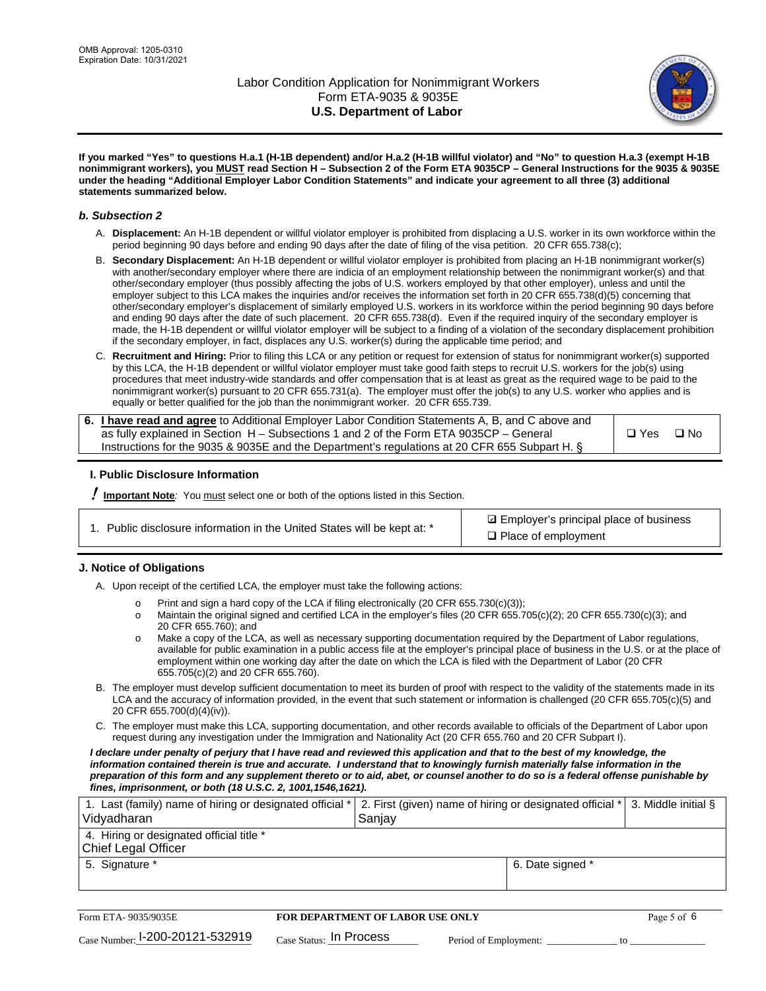

**If you marked "Yes" to questions H.a.1 (H-1B dependent) and/or H.a.2 (H-1B willful violator) and "No" to question H.a.3 (exempt H-1B nonimmigrant workers), you MUST read Section H – Subsection 2 of the Form ETA 9035CP – General Instructions for the 9035 & 9035E under the heading "Additional Employer Labor Condition Statements" and indicate your agreement to all three (3) additional statements summarized below.**

#### *b. Subsection 2*

- A. **Displacement:** An H-1B dependent or willful violator employer is prohibited from displacing a U.S. worker in its own workforce within the period beginning 90 days before and ending 90 days after the date of filing of the visa petition. 20 CFR 655.738(c);
- B. **Secondary Displacement:** An H-1B dependent or willful violator employer is prohibited from placing an H-1B nonimmigrant worker(s) with another/secondary employer where there are indicia of an employment relationship between the nonimmigrant worker(s) and that other/secondary employer (thus possibly affecting the jobs of U.S. workers employed by that other employer), unless and until the employer subject to this LCA makes the inquiries and/or receives the information set forth in 20 CFR 655.738(d)(5) concerning that other/secondary employer's displacement of similarly employed U.S. workers in its workforce within the period beginning 90 days before and ending 90 days after the date of such placement. 20 CFR 655.738(d). Even if the required inquiry of the secondary employer is made, the H-1B dependent or willful violator employer will be subject to a finding of a violation of the secondary displacement prohibition if the secondary employer, in fact, displaces any U.S. worker(s) during the applicable time period; and
- C. **Recruitment and Hiring:** Prior to filing this LCA or any petition or request for extension of status for nonimmigrant worker(s) supported by this LCA, the H-1B dependent or willful violator employer must take good faith steps to recruit U.S. workers for the job(s) using procedures that meet industry-wide standards and offer compensation that is at least as great as the required wage to be paid to the nonimmigrant worker(s) pursuant to 20 CFR 655.731(a). The employer must offer the job(s) to any U.S. worker who applies and is equally or better qualified for the job than the nonimmigrant worker. 20 CFR 655.739.

| 6. I have read and agree to Additional Employer Labor Condition Statements A, B, and C above and |       |           |
|--------------------------------------------------------------------------------------------------|-------|-----------|
| as fully explained in Section H – Subsections 1 and 2 of the Form ETA 9035CP – General           | □ Yes | $\Box$ No |
| Instructions for the 9035 & 9035E and the Department's regulations at 20 CFR 655 Subpart H. §    |       |           |

### **I. Public Disclosure Information**

! **Important Note***:* You must select one or both of the options listed in this Section.

| 1. Public disclosure information in the United States will be kept at: * |  |  |  |  |  |  |  |
|--------------------------------------------------------------------------|--|--|--|--|--|--|--|
|--------------------------------------------------------------------------|--|--|--|--|--|--|--|

**sqrt** Employer's principal place of business □ Place of employment

### **J. Notice of Obligations**

A. Upon receipt of the certified LCA, the employer must take the following actions:

- o Print and sign a hard copy of the LCA if filing electronically (20 CFR 655.730(c)(3));<br>
Maintain the original signed and certified LCA in the employer's files (20 CFR 655.7
- Maintain the original signed and certified LCA in the employer's files (20 CFR 655.705(c)(2); 20 CFR 655.730(c)(3); and 20 CFR 655.760); and
- o Make a copy of the LCA, as well as necessary supporting documentation required by the Department of Labor regulations, available for public examination in a public access file at the employer's principal place of business in the U.S. or at the place of employment within one working day after the date on which the LCA is filed with the Department of Labor (20 CFR 655.705(c)(2) and 20 CFR 655.760).
- B. The employer must develop sufficient documentation to meet its burden of proof with respect to the validity of the statements made in its LCA and the accuracy of information provided, in the event that such statement or information is challenged (20 CFR 655.705(c)(5) and 20 CFR 655.700(d)(4)(iv)).
- C. The employer must make this LCA, supporting documentation, and other records available to officials of the Department of Labor upon request during any investigation under the Immigration and Nationality Act (20 CFR 655.760 and 20 CFR Subpart I).

*I declare under penalty of perjury that I have read and reviewed this application and that to the best of my knowledge, the*  information contained therein is true and accurate. I understand that to knowingly furnish materially false information in the *preparation of this form and any supplement thereto or to aid, abet, or counsel another to do so is a federal offense punishable by fines, imprisonment, or both (18 U.S.C. 2, 1001,1546,1621).*

| 1. Last (family) name of hiring or designated official *   2. First (given) name of hiring or designated official *   3. Middle initial §<br>Vidyadharan | Saniav           |  |
|----------------------------------------------------------------------------------------------------------------------------------------------------------|------------------|--|
| 4. Hiring or designated official title *<br>Chief Legal Officer                                                                                          |                  |  |
| 5. Signature *                                                                                                                                           | 6. Date signed * |  |

| Form ETA-9035/9035E                         | <b>FOR DEPARTMENT OF LABOR USE ONLY</b> |                       | Page 5 of 6 |
|---------------------------------------------|-----------------------------------------|-----------------------|-------------|
| $_{\text{Case Number:}}$ I-200-20121-532919 | $_{\rm Case~S status:}$ In Process      | Period of Employment: |             |